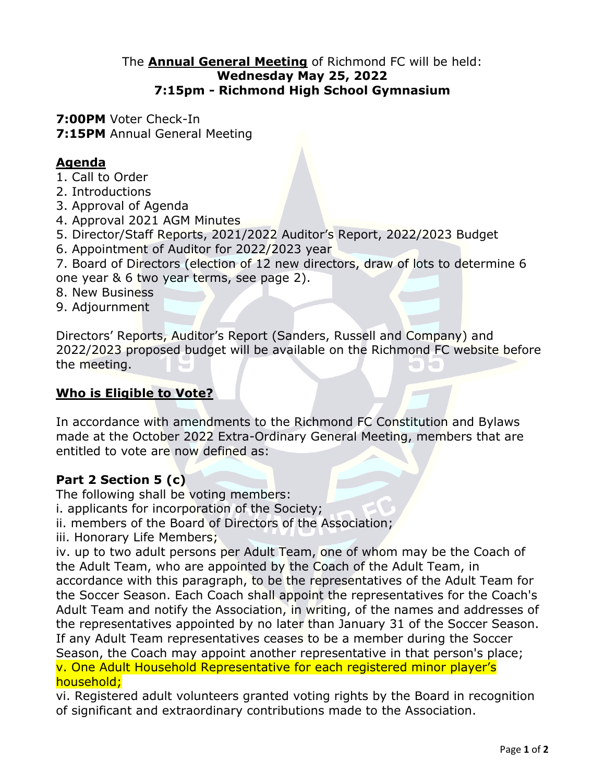#### The **Annual General Meeting** of Richmond FC will be held: **Wednesday May 25, 2022 7:15pm - Richmond High School Gymnasium**

**7:00PM** Voter Check-In **7:15PM** Annual General Meeting

## **Agenda**

- 1. Call to Order
- 2. Introductions
- 3. Approval of Agenda
- 4. Approval 2021 AGM Minutes
- 5. Director/Staff Reports, 2021/2022 Auditor's Report, 2022/2023 Budget
- 6. Appointment of Auditor for 2022/2023 year

7. Board of Directors (election of 12 new directors, draw of lots to determine 6 one year & 6 two year terms, see page 2).

- 8. New Business
- 9. Adjournment

Directors' Reports, Auditor's Report (Sanders, Russell and Company) and 2022/2023 proposed budget will be available on the Richmond FC website before the meeting.

#### **Who is Eligible to Vote?**

In accordance with amendments to the Richmond FC Constitution and Bylaws made at the October 2022 Extra-Ordinary General Meeting, members that are entitled to vote are now defined as:

## **Part 2 Section 5 (c)**

The following shall be voting members:

i. applicants for incorporation of the Society;

ii. members of the Board of Directors of the Association;

iii. Honorary Life Members;

iv. up to two adult persons per Adult Team, one of whom may be the Coach of the Adult Team, who are appointed by the Coach of the Adult Team, in accordance with this paragraph, to be the representatives of the Adult Team for the Soccer Season. Each Coach shall appoint the representatives for the Coach's Adult Team and notify the Association, in writing, of the names and addresses of the representatives appointed by no later than January 31 of the Soccer Season. If any Adult Team representatives ceases to be a member during the Soccer Season, the Coach may appoint another representative in that person's place; v. One Adult Household Representative for each registered minor player's household;

vi. Registered adult volunteers granted voting rights by the Board in recognition of significant and extraordinary contributions made to the Association.